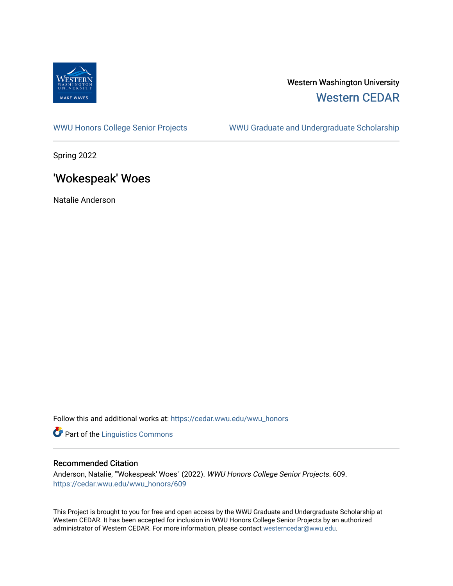

# Western Washington University [Western CEDAR](https://cedar.wwu.edu/)

[WWU Honors College Senior Projects](https://cedar.wwu.edu/wwu_honors) WWU Graduate and Undergraduate Scholarship

Spring 2022

# 'Wokespeak' Woes

Natalie Anderson

Follow this and additional works at: [https://cedar.wwu.edu/wwu\\_honors](https://cedar.wwu.edu/wwu_honors?utm_source=cedar.wwu.edu%2Fwwu_honors%2F609&utm_medium=PDF&utm_campaign=PDFCoverPages) 

**Part of the Linguistics Commons** 

#### Recommended Citation

Anderson, Natalie, "'Wokespeak' Woes" (2022). WWU Honors College Senior Projects. 609. [https://cedar.wwu.edu/wwu\\_honors/609](https://cedar.wwu.edu/wwu_honors/609?utm_source=cedar.wwu.edu%2Fwwu_honors%2F609&utm_medium=PDF&utm_campaign=PDFCoverPages)

This Project is brought to you for free and open access by the WWU Graduate and Undergraduate Scholarship at Western CEDAR. It has been accepted for inclusion in WWU Honors College Senior Projects by an authorized administrator of Western CEDAR. For more information, please contact [westerncedar@wwu.edu](mailto:westerncedar@wwu.edu).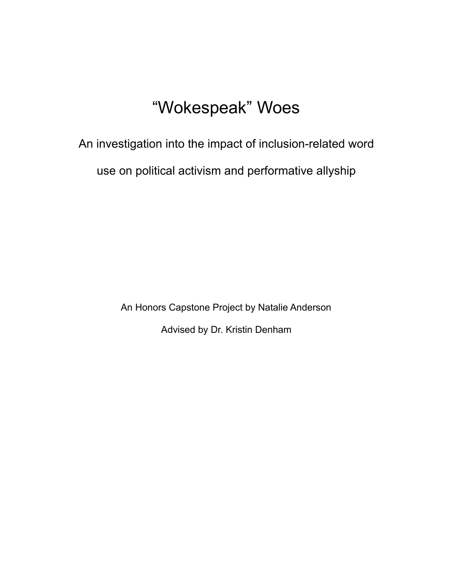# "Wokespeak" Woes

An investigation into the impact of inclusion-related word use on political activism and performative allyship

> An Honors Capstone Project by Natalie Anderson Advised by Dr. Kristin Denham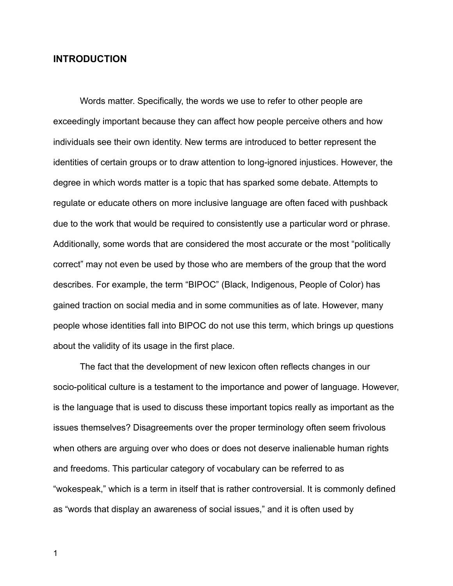# **INTRODUCTION**

Words matter. Specifically, the words we use to refer to other people are exceedingly important because they can affect how people perceive others and how individuals see their own identity. New terms are introduced to better represent the identities of certain groups or to draw attention to long-ignored injustices. However, the degree in which words matter is a topic that has sparked some debate. Attempts to regulate or educate others on more inclusive language are often faced with pushback due to the work that would be required to consistently use a particular word or phrase. Additionally, some words that are considered the most accurate or the most "politically correct" may not even be used by those who are members of the group that the word describes. For example, the term "BIPOC" (Black, Indigenous, People of Color) has gained traction on social media and in some communities as of late. However, many people whose identities fall into BIPOC do not use this term, which brings up questions about the validity of its usage in the first place.

The fact that the development of new lexicon often reflects changes in our socio-political culture is a testament to the importance and power of language. However, is the language that is used to discuss these important topics really as important as the issues themselves? Disagreements over the proper terminology often seem frivolous when others are arguing over who does or does not deserve inalienable human rights and freedoms. This particular category of vocabulary can be referred to as "wokespeak," which is a term in itself that is rather controversial. It is commonly defined as "words that display an awareness of social issues," and it is often used by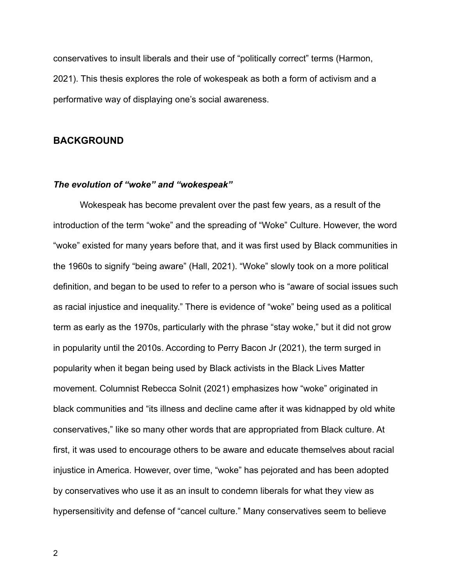conservatives to insult liberals and their use of "politically correct" terms (Harmon, 2021). This thesis explores the role of wokespeak as both a form of activism and a performative way of displaying one's social awareness.

# **BACKGROUND**

#### *The evolution of "woke" and "wokespeak"*

Wokespeak has become prevalent over the past few years, as a result of the introduction of the term "woke" and the spreading of "Woke" Culture. However, the word "woke" existed for many years before that, and it was first used by Black communities in the 1960s to signify "being aware" (Hall, 2021). "Woke" slowly took on a more political definition, and began to be used to refer to a person who is "aware of social issues such as racial injustice and inequality." There is evidence of "woke" being used as a political term as early as the 1970s, particularly with the phrase "stay woke," but it did not grow in popularity until the 2010s. According to Perry Bacon Jr (2021), the term surged in popularity when it began being used by Black activists in the Black Lives Matter movement. Columnist Rebecca Solnit (2021) emphasizes how "woke" originated in black communities and "its illness and decline came after it was kidnapped by old white conservatives," like so many other words that are appropriated from Black culture. At first, it was used to encourage others to be aware and educate themselves about racial injustice in America. However, over time, "woke" has pejorated and has been adopted by conservatives who use it as an insult to condemn liberals for what they view as hypersensitivity and defense of "cancel culture." Many conservatives seem to believe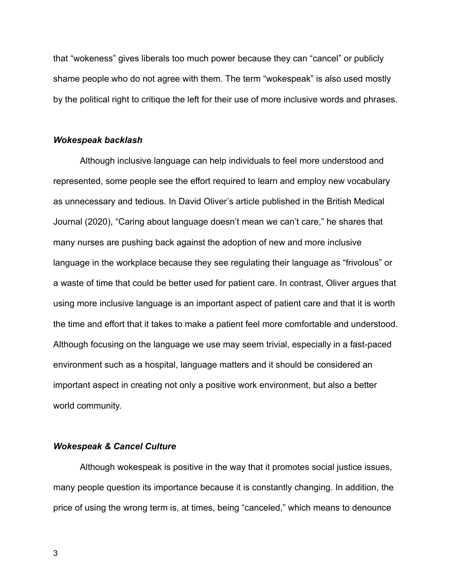that "wokeness" gives liberals too much power because they can "cancel" or publicly shame people who do not agree with them. The term "wokespeak" is also used mostly by the political right to critique the left for their use of more inclusive words and phrases.

#### *Wokespeak backlash*

Although inclusive language can help individuals to feel more understood and represented, some people see the effort required to learn and employ new vocabulary as unnecessary and tedious. In David Oliver's article published in the British Medical Journal (2020), "Caring about language doesn't mean we can't care," he shares that many nurses are pushing back against the adoption of new and more inclusive language in the workplace because they see regulating their language as "frivolous" or a waste of time that could be better used for patient care. In contrast, Oliver argues that using more inclusive language is an important aspect of patient care and that it is worth the time and effort that it takes to make a patient feel more comfortable and understood. Although focusing on the language we use may seem trivial, especially in a fast-paced environment such as a hospital, language matters and it should be considered an important aspect in creating not only a positive work environment, but also a better world community.

#### *Wokespeak & Cancel Culture*

Although wokespeak is positive in the way that it promotes social justice issues, many people question its importance because it is constantly changing. In addition, the price of using the wrong term is, at times, being "canceled," which means to denounce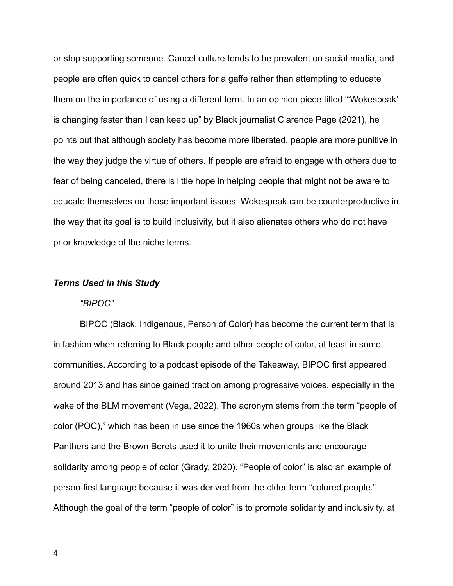or stop supporting someone. Cancel culture tends to be prevalent on social media, and people are often quick to cancel others for a gaffe rather than attempting to educate them on the importance of using a different term. In an opinion piece titled "'Wokespeak' is changing faster than I can keep up" by Black journalist Clarence Page (2021), he points out that although society has become more liberated, people are more punitive in the way they judge the virtue of others. If people are afraid to engage with others due to fear of being canceled, there is little hope in helping people that might not be aware to educate themselves on those important issues. Wokespeak can be counterproductive in the way that its goal is to build inclusivity, but it also alienates others who do not have prior knowledge of the niche terms.

#### *Terms Used in this Study*

#### *"BIPOC"*

BIPOC (Black, Indigenous, Person of Color) has become the current term that is in fashion when referring to Black people and other people of color, at least in some communities. According to a podcast episode of the Takeaway, BIPOC first appeared around 2013 and has since gained traction among progressive voices, especially in the wake of the BLM movement (Vega, 2022). The acronym stems from the term "people of color (POC)," which has been in use since the 1960s when groups like the Black Panthers and the Brown Berets used it to unite their movements and encourage solidarity among people of color (Grady, 2020). "People of color" is also an example of person-first language because it was derived from the older term "colored people." Although the goal of the term "people of color" is to promote solidarity and inclusivity, at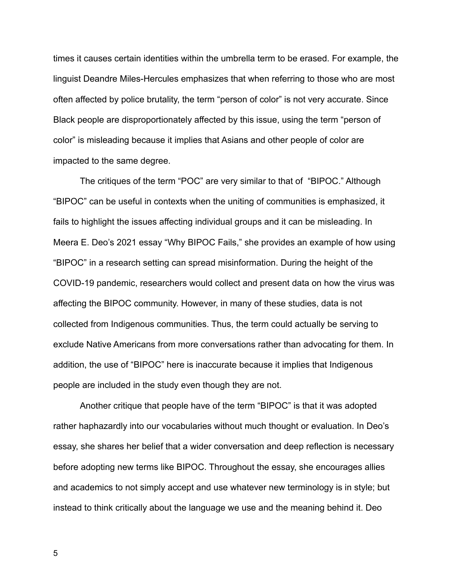times it causes certain identities within the umbrella term to be erased. For example, the linguist Deandre Miles-Hercules emphasizes that when referring to those who are most often affected by police brutality, the term "person of color" is not very accurate. Since Black people are disproportionately affected by this issue, using the term "person of color" is misleading because it implies that Asians and other people of color are impacted to the same degree.

The critiques of the term "POC" are very similar to that of "BIPOC." Although "BIPOC" can be useful in contexts when the uniting of communities is emphasized, it fails to highlight the issues affecting individual groups and it can be misleading. In Meera E. Deo's 2021 essay "Why BIPOC Fails," she provides an example of how using "BIPOC" in a research setting can spread misinformation. During the height of the COVID-19 pandemic, researchers would collect and present data on how the virus was affecting the BIPOC community. However, in many of these studies, data is not collected from Indigenous communities. Thus, the term could actually be serving to exclude Native Americans from more conversations rather than advocating for them. In addition, the use of "BIPOC" here is inaccurate because it implies that Indigenous people are included in the study even though they are not.

Another critique that people have of the term "BIPOC" is that it was adopted rather haphazardly into our vocabularies without much thought or evaluation. In Deo's essay, she shares her belief that a wider conversation and deep reflection is necessary before adopting new terms like BIPOC. Throughout the essay, she encourages allies and academics to not simply accept and use whatever new terminology is in style; but instead to think critically about the language we use and the meaning behind it. Deo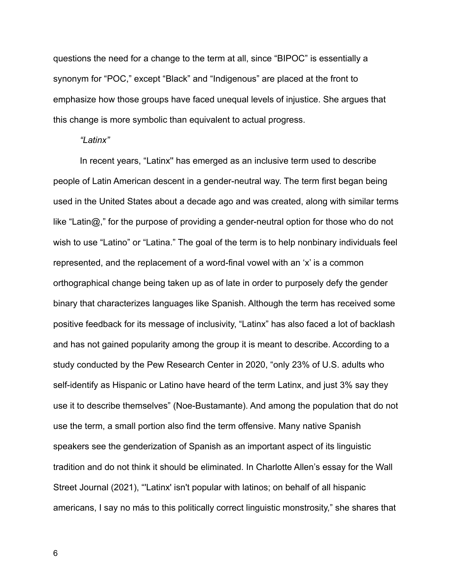questions the need for a change to the term at all, since "BIPOC" is essentially a synonym for "POC," except "Black" and "Indigenous" are placed at the front to emphasize how those groups have faced unequal levels of injustice. She argues that this change is more symbolic than equivalent to actual progress.

#### *"Latinx"*

In recent years, "Latinx'' has emerged as an inclusive term used to describe people of Latin American descent in a gender-neutral way. The term first began being used in the United States about a decade ago and was created, along with similar terms like "Latin@," for the purpose of providing a gender-neutral option for those who do not wish to use "Latino" or "Latina." The goal of the term is to help nonbinary individuals feel represented, and the replacement of a word-final vowel with an 'x' is a common orthographical change being taken up as of late in order to purposely defy the gender binary that characterizes languages like Spanish. Although the term has received some positive feedback for its message of inclusivity, "Latinx" has also faced a lot of backlash and has not gained popularity among the group it is meant to describe. According to a study conducted by the Pew Research Center in 2020, "only 23% of U.S. adults who self-identify as Hispanic or Latino have heard of the term Latinx, and just 3% say they use it to describe themselves" (Noe-Bustamante). And among the population that do not use the term, a small portion also find the term offensive. Many native Spanish speakers see the genderization of Spanish as an important aspect of its linguistic tradition and do not think it should be eliminated. In Charlotte Allen's essay for the Wall Street Journal (2021), "'Latinx' isn't popular with latinos; on behalf of all hispanic americans, I say no más to this politically correct linguistic monstrosity," she shares that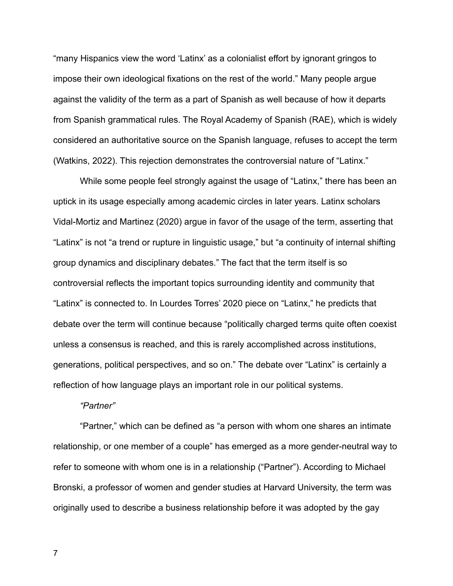"many Hispanics view the word 'Latinx' as a colonialist effort by ignorant gringos to impose their own ideological fixations on the rest of the world." Many people argue against the validity of the term as a part of Spanish as well because of how it departs from Spanish grammatical rules. The Royal Academy of Spanish (RAE), which is widely considered an authoritative source on the Spanish language, refuses to accept the term (Watkins, 2022). This rejection demonstrates the controversial nature of "Latinx."

While some people feel strongly against the usage of "Latinx," there has been an uptick in its usage especially among academic circles in later years. Latinx scholars Vidal-Mortiz and Martinez (2020) argue in favor of the usage of the term, asserting that "Latinx" is not "a trend or rupture in linguistic usage," but "a continuity of internal shifting group dynamics and disciplinary debates." The fact that the term itself is so controversial reflects the important topics surrounding identity and community that "Latinx" is connected to. In Lourdes Torres' 2020 piece on "Latinx," he predicts that debate over the term will continue because "politically charged terms quite often coexist unless a consensus is reached, and this is rarely accomplished across institutions, generations, political perspectives, and so on." The debate over "Latinx" is certainly a reflection of how language plays an important role in our political systems.

#### *"Partner"*

"Partner," which can be defined as "a person with whom one shares an intimate relationship, or one member of a couple" has emerged as a more gender-neutral way to refer to someone with whom one is in a relationship ("Partner"). According to Michael Bronski, a professor of women and gender studies at Harvard University, the term was originally used to describe a business relationship before it was adopted by the gay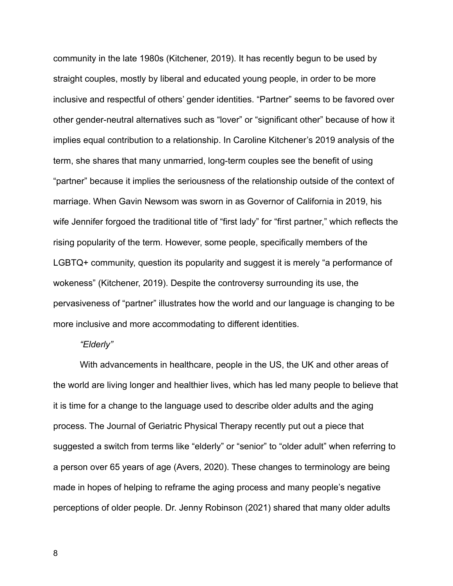community in the late 1980s (Kitchener, 2019). It has recently begun to be used by straight couples, mostly by liberal and educated young people, in order to be more inclusive and respectful of others' gender identities. "Partner" seems to be favored over other gender-neutral alternatives such as "lover" or "significant other" because of how it implies equal contribution to a relationship. In Caroline Kitchener's 2019 analysis of the term, she shares that many unmarried, long-term couples see the benefit of using "partner" because it implies the seriousness of the relationship outside of the context of marriage. When Gavin Newsom was sworn in as Governor of California in 2019, his wife Jennifer forgoed the traditional title of "first lady" for "first partner," which reflects the rising popularity of the term. However, some people, specifically members of the LGBTQ+ community, question its popularity and suggest it is merely "a performance of wokeness" (Kitchener, 2019). Despite the controversy surrounding its use, the pervasiveness of "partner" illustrates how the world and our language is changing to be more inclusive and more accommodating to different identities.

#### *"Elderly"*

With advancements in healthcare, people in the US, the UK and other areas of the world are living longer and healthier lives, which has led many people to believe that it is time for a change to the language used to describe older adults and the aging process. The Journal of Geriatric Physical Therapy recently put out a piece that suggested a switch from terms like "elderly" or "senior" to "older adult" when referring to a person over 65 years of age (Avers, 2020). These changes to terminology are being made in hopes of helping to reframe the aging process and many people's negative perceptions of older people. Dr. Jenny Robinson (2021) shared that many older adults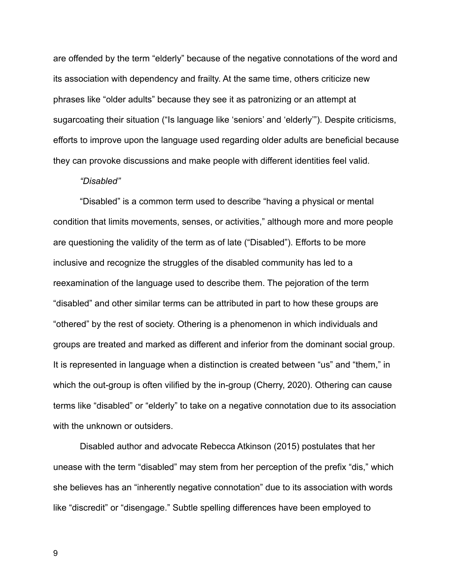are offended by the term "elderly" because of the negative connotations of the word and its association with dependency and frailty. At the same time, others criticize new phrases like "older adults" because they see it as patronizing or an attempt at sugarcoating their situation ("Is language like 'seniors' and 'elderly'"). Despite criticisms, efforts to improve upon the language used regarding older adults are beneficial because they can provoke discussions and make people with different identities feel valid.

#### *"Disabled"*

"Disabled" is a common term used to describe "having a physical or mental condition that limits movements, senses, or activities," although more and more people are questioning the validity of the term as of late ("Disabled"). Efforts to be more inclusive and recognize the struggles of the disabled community has led to a reexamination of the language used to describe them. The pejoration of the term "disabled" and other similar terms can be attributed in part to how these groups are "othered" by the rest of society. Othering is a phenomenon in which individuals and groups are treated and marked as different and inferior from the dominant social group. It is represented in language when a distinction is created between "us" and "them," in which the out-group is often vilified by the in-group (Cherry, 2020). Othering can cause terms like "disabled" or "elderly" to take on a negative connotation due to its association with the unknown or outsiders.

Disabled author and advocate Rebecca Atkinson (2015) postulates that her unease with the term "disabled" may stem from her perception of the prefix "dis," which she believes has an "inherently negative connotation" due to its association with words like "discredit" or "disengage." Subtle spelling differences have been employed to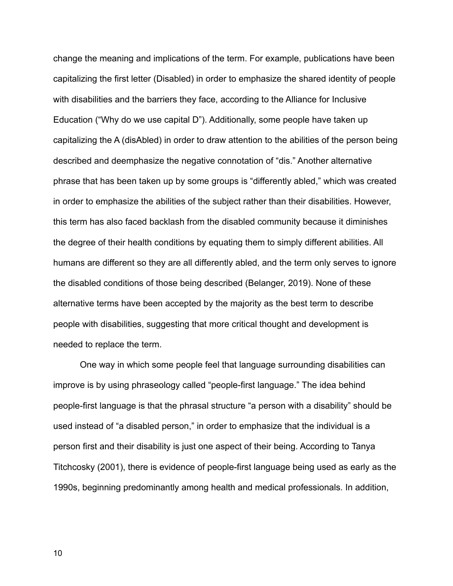change the meaning and implications of the term. For example, publications have been capitalizing the first letter (Disabled) in order to emphasize the shared identity of people with disabilities and the barriers they face, according to the Alliance for Inclusive Education ("Why do we use capital D"). Additionally, some people have taken up capitalizing the A (disAbled) in order to draw attention to the abilities of the person being described and deemphasize the negative connotation of "dis." Another alternative phrase that has been taken up by some groups is "differently abled," which was created in order to emphasize the abilities of the subject rather than their disabilities. However, this term has also faced backlash from the disabled community because it diminishes the degree of their health conditions by equating them to simply different abilities. All humans are different so they are all differently abled, and the term only serves to ignore the disabled conditions of those being described (Belanger, 2019). None of these alternative terms have been accepted by the majority as the best term to describe people with disabilities, suggesting that more critical thought and development is needed to replace the term.

One way in which some people feel that language surrounding disabilities can improve is by using phraseology called "people-first language." The idea behind people-first language is that the phrasal structure "a person with a disability" should be used instead of "a disabled person," in order to emphasize that the individual is a person first and their disability is just one aspect of their being. According to Tanya Titchcosky (2001), there is evidence of people-first language being used as early as the 1990s, beginning predominantly among health and medical professionals. In addition,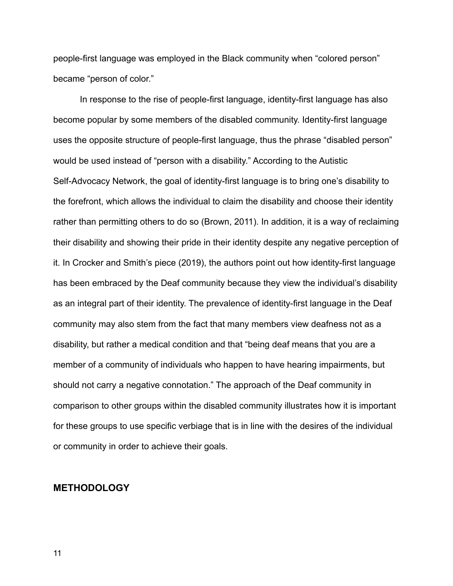people-first language was employed in the Black community when "colored person" became "person of color."

In response to the rise of people-first language, identity-first language has also become popular by some members of the disabled community. Identity-first language uses the opposite structure of people-first language, thus the phrase "disabled person" would be used instead of "person with a disability." According to the Autistic Self-Advocacy Network, the goal of identity-first language is to bring one's disability to the forefront, which allows the individual to claim the disability and choose their identity rather than permitting others to do so (Brown, 2011). In addition, it is a way of reclaiming their disability and showing their pride in their identity despite any negative perception of it. In Crocker and Smith's piece (2019), the authors point out how identity-first language has been embraced by the Deaf community because they view the individual's disability as an integral part of their identity. The prevalence of identity-first language in the Deaf community may also stem from the fact that many members view deafness not as a disability, but rather a medical condition and that "being deaf means that you are a member of a community of individuals who happen to have hearing impairments, but should not carry a negative connotation." The approach of the Deaf community in comparison to other groups within the disabled community illustrates how it is important for these groups to use specific verbiage that is in line with the desires of the individual or community in order to achieve their goals.

#### **METHODOLOGY**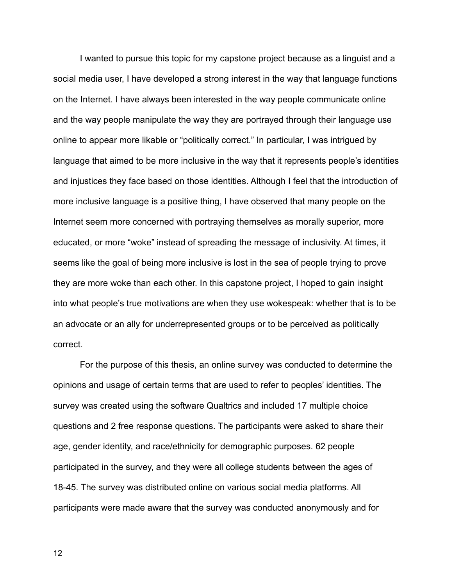I wanted to pursue this topic for my capstone project because as a linguist and a social media user, I have developed a strong interest in the way that language functions on the Internet. I have always been interested in the way people communicate online and the way people manipulate the way they are portrayed through their language use online to appear more likable or "politically correct." In particular, I was intrigued by language that aimed to be more inclusive in the way that it represents people's identities and injustices they face based on those identities. Although I feel that the introduction of more inclusive language is a positive thing, I have observed that many people on the Internet seem more concerned with portraying themselves as morally superior, more educated, or more "woke" instead of spreading the message of inclusivity. At times, it seems like the goal of being more inclusive is lost in the sea of people trying to prove they are more woke than each other. In this capstone project, I hoped to gain insight into what people's true motivations are when they use wokespeak: whether that is to be an advocate or an ally for underrepresented groups or to be perceived as politically correct.

For the purpose of this thesis, an online survey was conducted to determine the opinions and usage of certain terms that are used to refer to peoples' identities. The survey was created using the software Qualtrics and included 17 multiple choice questions and 2 free response questions. The participants were asked to share their age, gender identity, and race/ethnicity for demographic purposes. 62 people participated in the survey, and they were all college students between the ages of 18-45. The survey was distributed online on various social media platforms. All participants were made aware that the survey was conducted anonymously and for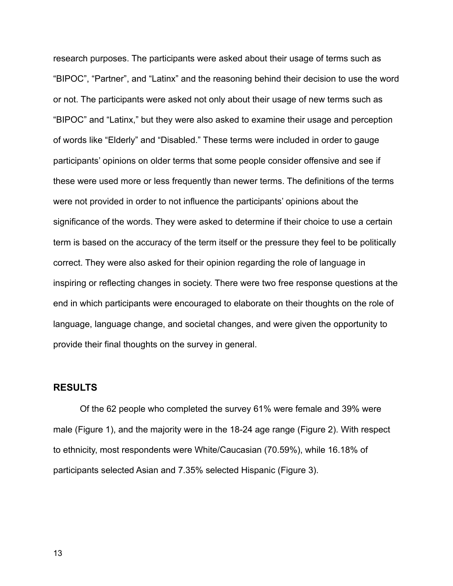research purposes. The participants were asked about their usage of terms such as "BIPOC", "Partner", and "Latinx" and the reasoning behind their decision to use the word or not. The participants were asked not only about their usage of new terms such as "BIPOC" and "Latinx," but they were also asked to examine their usage and perception of words like "Elderly" and "Disabled." These terms were included in order to gauge participants' opinions on older terms that some people consider offensive and see if these were used more or less frequently than newer terms. The definitions of the terms were not provided in order to not influence the participants' opinions about the significance of the words. They were asked to determine if their choice to use a certain term is based on the accuracy of the term itself or the pressure they feel to be politically correct. They were also asked for their opinion regarding the role of language in inspiring or reflecting changes in society. There were two free response questions at the end in which participants were encouraged to elaborate on their thoughts on the role of language, language change, and societal changes, and were given the opportunity to provide their final thoughts on the survey in general.

## **RESULTS**

Of the 62 people who completed the survey 61% were female and 39% were male (Figure 1), and the majority were in the 18-24 age range (Figure 2). With respect to ethnicity, most respondents were White/Caucasian (70.59%), while 16.18% of participants selected Asian and 7.35% selected Hispanic (Figure 3).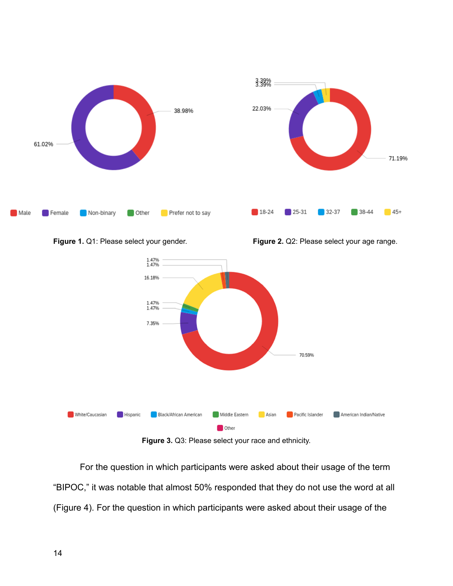





**Figure 3.** Q3: Please select your race and ethnicity.

For the question in which participants were asked about their usage of the term "BIPOC," it was notable that almost 50% responded that they do not use the word at all (Figure 4). For the question in which participants were asked about their usage of the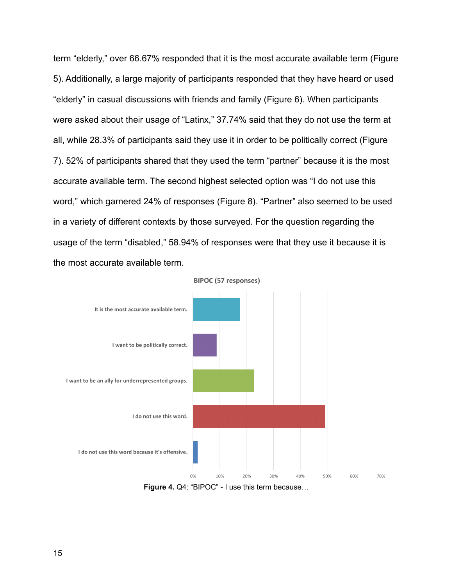term "elderly," over 66.67% responded that it is the most accurate available term (Figure 5). Additionally, a large majority of participants responded that they have heard or used "elderly" in casual discussions with friends and family (Figure 6). When participants were asked about their usage of "Latinx," 37.74% said that they do not use the term at all, while 28.3% of participants said they use it in order to be politically correct (Figure 7). 52% of participants shared that they used the term "partner" because it is the most accurate available term. The second highest selected option was "I do not use this word," which garnered 24% of responses (Figure 8). "Partner" also seemed to be used in a variety of different contexts by those surveyed. For the question regarding the usage of the term "disabled," 58.94% of responses were that they use it because it is the most accurate available term.

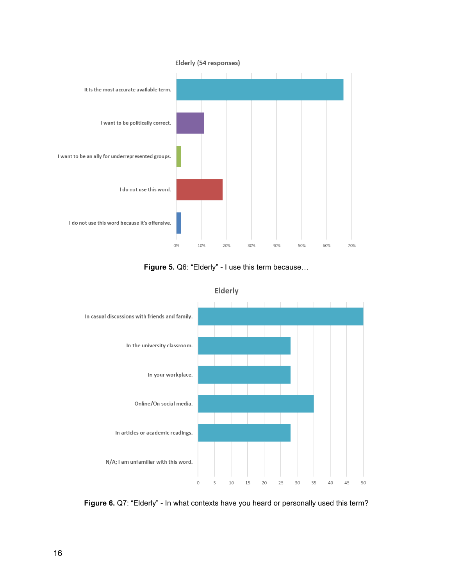

**Figure 5.** Q6: "Elderly" - I use this term because…



Elderly

**Figure 6.** Q7: "Elderly" - In what contexts have you heard or personally used this term?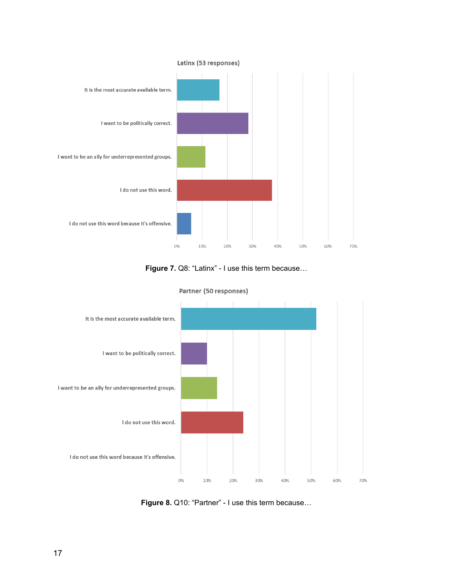

**Figure 7.** Q8: "Latinx" - I use this term because…



Partner (50 responses)

**Figure 8.** Q10: "Partner" - I use this term because…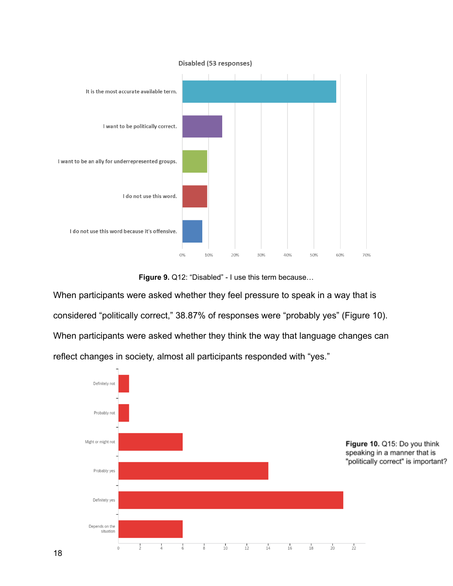

**Figure 9.** Q12: "Disabled" - I use this term because…

When participants were asked whether they feel pressure to speak in a way that is considered "politically correct," 38.87% of responses were "probably yes" (Figure 10). When participants were asked whether they think the way that language changes can reflect changes in society, almost all participants responded with "yes."

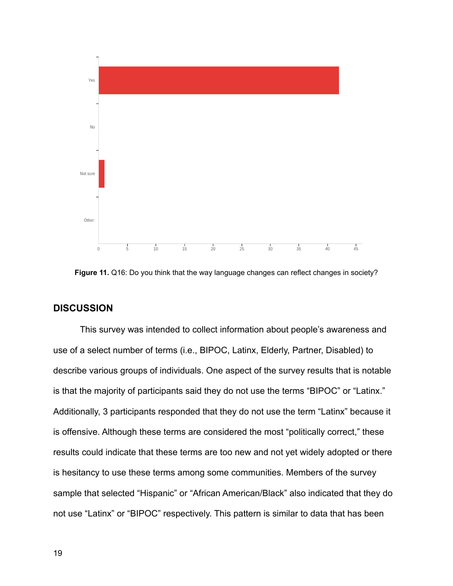

**Figure 11.** Q16: Do you think that the way language changes can reflect changes in society?

## **DISCUSSION**

This survey was intended to collect information about people's awareness and use of a select number of terms (i.e., BIPOC, Latinx, Elderly, Partner, Disabled) to describe various groups of individuals. One aspect of the survey results that is notable is that the majority of participants said they do not use the terms "BIPOC" or "Latinx." Additionally, 3 participants responded that they do not use the term "Latinx" because it is offensive. Although these terms are considered the most "politically correct," these results could indicate that these terms are too new and not yet widely adopted or there is hesitancy to use these terms among some communities. Members of the survey sample that selected "Hispanic" or "African American/Black" also indicated that they do not use "Latinx" or "BIPOC" respectively. This pattern is similar to data that has been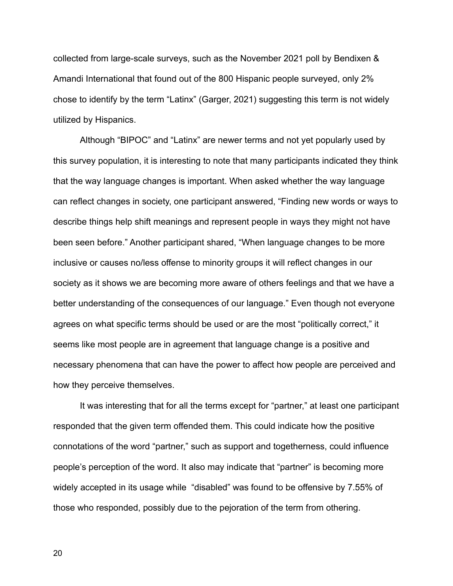collected from large-scale surveys, such as the November 2021 poll by Bendixen & Amandi International that found out of the 800 Hispanic people surveyed, only 2% chose to identify by the term "Latinx" (Garger, 2021) suggesting this term is not widely utilized by Hispanics.

Although "BIPOC" and "Latinx" are newer terms and not yet popularly used by this survey population, it is interesting to note that many participants indicated they think that the way language changes is important. When asked whether the way language can reflect changes in society, one participant answered, "Finding new words or ways to describe things help shift meanings and represent people in ways they might not have been seen before." Another participant shared, "When language changes to be more inclusive or causes no/less offense to minority groups it will reflect changes in our society as it shows we are becoming more aware of others feelings and that we have a better understanding of the consequences of our language." Even though not everyone agrees on what specific terms should be used or are the most "politically correct," it seems like most people are in agreement that language change is a positive and necessary phenomena that can have the power to affect how people are perceived and how they perceive themselves.

It was interesting that for all the terms except for "partner," at least one participant responded that the given term offended them. This could indicate how the positive connotations of the word "partner," such as support and togetherness, could influence people's perception of the word. It also may indicate that "partner" is becoming more widely accepted in its usage while "disabled" was found to be offensive by 7.55% of those who responded, possibly due to the pejoration of the term from othering.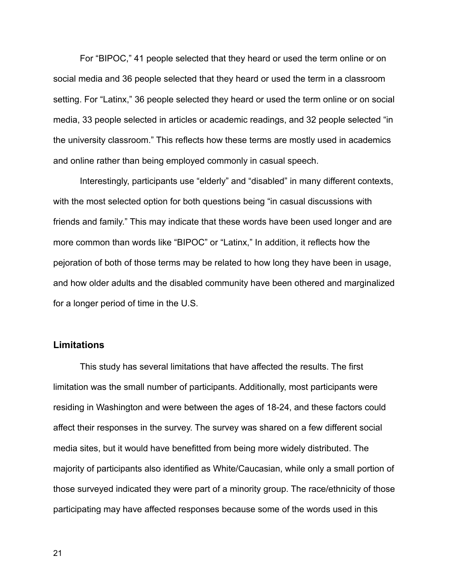For "BIPOC," 41 people selected that they heard or used the term online or on social media and 36 people selected that they heard or used the term in a classroom setting. For "Latinx," 36 people selected they heard or used the term online or on social media, 33 people selected in articles or academic readings, and 32 people selected "in the university classroom." This reflects how these terms are mostly used in academics and online rather than being employed commonly in casual speech.

Interestingly, participants use "elderly" and "disabled" in many different contexts, with the most selected option for both questions being "in casual discussions with friends and family." This may indicate that these words have been used longer and are more common than words like "BIPOC" or "Latinx," In addition, it reflects how the pejoration of both of those terms may be related to how long they have been in usage, and how older adults and the disabled community have been othered and marginalized for a longer period of time in the U.S.

## **Limitations**

This study has several limitations that have affected the results. The first limitation was the small number of participants. Additionally, most participants were residing in Washington and were between the ages of 18-24, and these factors could affect their responses in the survey. The survey was shared on a few different social media sites, but it would have benefitted from being more widely distributed. The majority of participants also identified as White/Caucasian, while only a small portion of those surveyed indicated they were part of a minority group. The race/ethnicity of those participating may have affected responses because some of the words used in this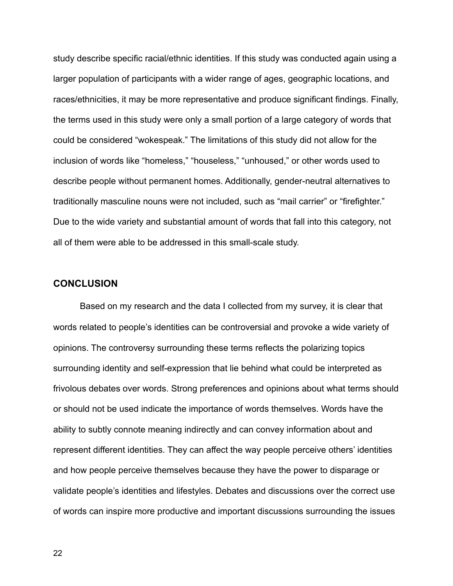study describe specific racial/ethnic identities. If this study was conducted again using a larger population of participants with a wider range of ages, geographic locations, and races/ethnicities, it may be more representative and produce significant findings. Finally, the terms used in this study were only a small portion of a large category of words that could be considered "wokespeak." The limitations of this study did not allow for the inclusion of words like "homeless," "houseless," "unhoused," or other words used to describe people without permanent homes. Additionally, gender-neutral alternatives to traditionally masculine nouns were not included, such as "mail carrier" or "firefighter." Due to the wide variety and substantial amount of words that fall into this category, not all of them were able to be addressed in this small-scale study.

# **CONCLUSION**

Based on my research and the data I collected from my survey, it is clear that words related to people's identities can be controversial and provoke a wide variety of opinions. The controversy surrounding these terms reflects the polarizing topics surrounding identity and self-expression that lie behind what could be interpreted as frivolous debates over words. Strong preferences and opinions about what terms should or should not be used indicate the importance of words themselves. Words have the ability to subtly connote meaning indirectly and can convey information about and represent different identities. They can affect the way people perceive others' identities and how people perceive themselves because they have the power to disparage or validate people's identities and lifestyles. Debates and discussions over the correct use of words can inspire more productive and important discussions surrounding the issues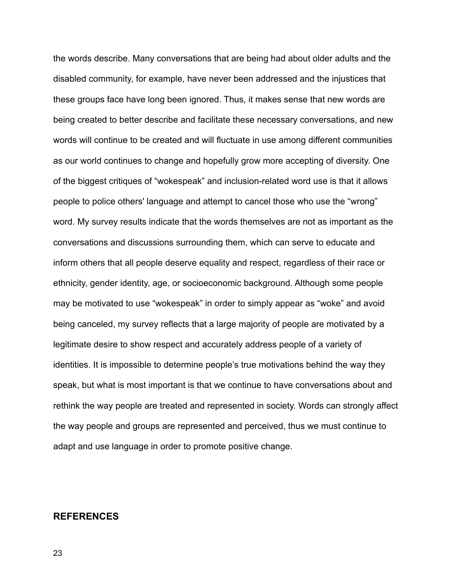the words describe. Many conversations that are being had about older adults and the disabled community, for example, have never been addressed and the injustices that these groups face have long been ignored. Thus, it makes sense that new words are being created to better describe and facilitate these necessary conversations, and new words will continue to be created and will fluctuate in use among different communities as our world continues to change and hopefully grow more accepting of diversity. One of the biggest critiques of "wokespeak" and inclusion-related word use is that it allows people to police others' language and attempt to cancel those who use the "wrong" word. My survey results indicate that the words themselves are not as important as the conversations and discussions surrounding them, which can serve to educate and inform others that all people deserve equality and respect, regardless of their race or ethnicity, gender identity, age, or socioeconomic background. Although some people may be motivated to use "wokespeak" in order to simply appear as "woke" and avoid being canceled, my survey reflects that a large majority of people are motivated by a legitimate desire to show respect and accurately address people of a variety of identities. It is impossible to determine people's true motivations behind the way they speak, but what is most important is that we continue to have conversations about and rethink the way people are treated and represented in society. Words can strongly affect the way people and groups are represented and perceived, thus we must continue to adapt and use language in order to promote positive change.

#### **REFERENCES**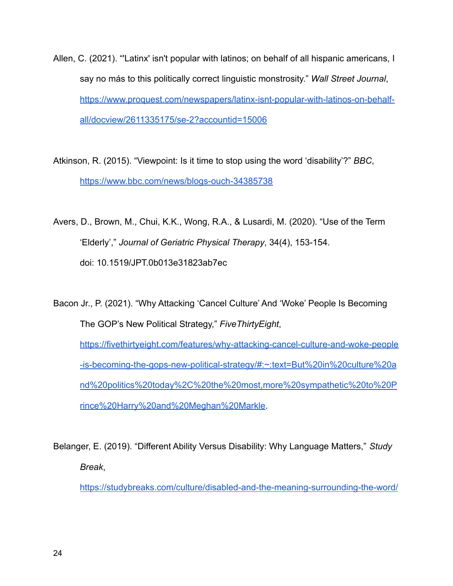Allen, C. (2021). "'Latinx' isn't popular with latinos; on behalf of all hispanic americans, I say no más to this politically correct linguistic monstrosity." *Wall Street Journal*, [https://www.proquest.com/newspapers/latinx-isnt-popular-with-latinos-on-behalf](https://www.proquest.com/newspapers/latinx-isnt-popular-with-latinos-on-behalf-all/docview/2611335175/se-2?accountid=15006)[all/docview/2611335175/se-2?accountid=15006](https://www.proquest.com/newspapers/latinx-isnt-popular-with-latinos-on-behalf-all/docview/2611335175/se-2?accountid=15006)

Atkinson, R. (2015). "Viewpoint: Is it time to stop using the word 'disability'?" *BBC*, <https://www.bbc.com/news/blogs-ouch-34385738>

Avers, D., Brown, M., Chui, K.K., Wong, R.A., & Lusardi, M. (2020). "Use of the Term 'Elderly'," *Journal of Geriatric Physical Therapy*, 34(4), 153-154. doi: 10.1519/JPT.0b013e31823ab7ec

Bacon Jr., P. (2021). "Why Attacking 'Cancel Culture' And 'Woke' People Is Becoming The GOP's New Political Strategy," *FiveThirtyEight*, [https://fivethirtyeight.com/features/why-attacking-cancel-culture-and-woke-people](https://fivethirtyeight.com/features/why-attacking-cancel-culture-and-woke-people-is-becoming-the-gops-new-political-strategy/#:~:text=But%20in%20culture%20and%20politics%20today%2C%20the%20most,more%20sympathetic%20to%20Prince%20Harry%20and%20Meghan%20Markle) [-is-becoming-the-gops-new-political-strategy/#:~:text=But%20in%20culture%20a](https://fivethirtyeight.com/features/why-attacking-cancel-culture-and-woke-people-is-becoming-the-gops-new-political-strategy/#:~:text=But%20in%20culture%20and%20politics%20today%2C%20the%20most,more%20sympathetic%20to%20Prince%20Harry%20and%20Meghan%20Markle) [nd%20politics%20today%2C%20the%20most,more%20sympathetic%20to%20P](https://fivethirtyeight.com/features/why-attacking-cancel-culture-and-woke-people-is-becoming-the-gops-new-political-strategy/#:~:text=But%20in%20culture%20and%20politics%20today%2C%20the%20most,more%20sympathetic%20to%20Prince%20Harry%20and%20Meghan%20Markle) [rince%20Harry%20and%20Meghan%20Markle.](https://fivethirtyeight.com/features/why-attacking-cancel-culture-and-woke-people-is-becoming-the-gops-new-political-strategy/#:~:text=But%20in%20culture%20and%20politics%20today%2C%20the%20most,more%20sympathetic%20to%20Prince%20Harry%20and%20Meghan%20Markle)

Belanger, E. (2019). "Different Ability Versus Disability: Why Language Matters," *Study Break*,

<https://studybreaks.com/culture/disabled-and-the-meaning-surrounding-the-word/>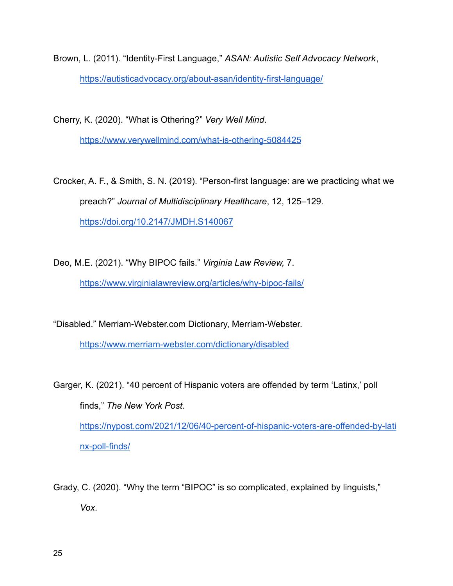Brown, L. (2011). "Identity-First Language," *ASAN: Autistic Self Advocacy Network*, <https://autisticadvocacy.org/about-asan/identity-first-language/>

Cherry, K. (2020). "What is Othering?" *Very Well Mind*.

<https://www.verywellmind.com/what-is-othering-5084425>

Crocker, A. F., & Smith, S. N. (2019). "Person-first language: are we practicing what we preach?" *Journal of Multidisciplinary Healthcare*, 12, 125–129. <https://doi.org/10.2147/JMDH.S140067>

Deo, M.E. (2021). "Why BIPOC fails." *Virginia Law Review,* 7.

<https://www.virginialawreview.org/articles/why-bipoc-fails/>

"Disabled." Merriam-Webster.com Dictionary, Merriam-Webster.

<https://www.merriam-webster.com/dictionary/disabled>

Garger, K. (2021). "40 percent of Hispanic voters are offended by term 'Latinx,' poll finds," *The New York Post*. [https://nypost.com/2021/12/06/40-percent-of-hispanic-voters-are-offended-by-lati](https://nypost.com/2021/12/06/40-percent-of-hispanic-voters-are-offended-by-latinx-poll-finds/) [nx-poll-finds/](https://nypost.com/2021/12/06/40-percent-of-hispanic-voters-are-offended-by-latinx-poll-finds/)

Grady, C. (2020). "Why the term "BIPOC" is so complicated, explained by linguists," *Vox*.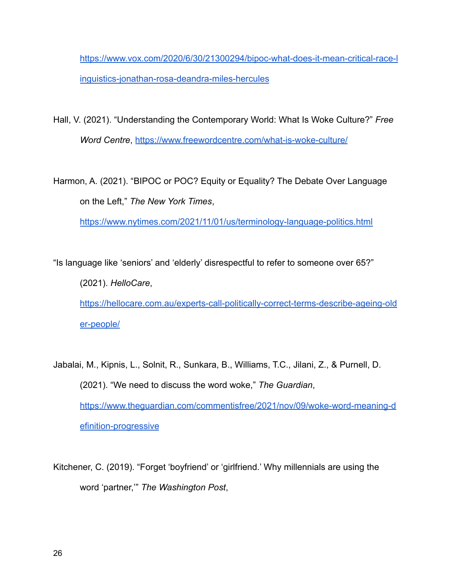[https://www.vox.com/2020/6/30/21300294/bipoc-what-does-it-mean-critical-race-l](https://www.vox.com/2020/6/30/21300294/bipoc-what-does-it-mean-critical-race-linguistics-jonathan-rosa-deandra-miles-hercules) [inguistics-jonathan-rosa-deandra-miles-hercules](https://www.vox.com/2020/6/30/21300294/bipoc-what-does-it-mean-critical-race-linguistics-jonathan-rosa-deandra-miles-hercules)

Hall, V. (2021). "Understanding the Contemporary World: What Is Woke Culture?" *Free Word Centre*, <https://www.freewordcentre.com/what-is-woke-culture/>

Harmon, A. (2021). "BIPOC or POC? Equity or Equality? The Debate Over Language on the Left," *The New York Times*,

<https://www.nytimes.com/2021/11/01/us/terminology-language-politics.html>

"Is language like 'seniors' and 'elderly' disrespectful to refer to someone over 65?" (2021). *HelloCare*, [https://hellocare.com.au/experts-call-politically-correct-terms-describe-ageing-old](https://hellocare.com.au/experts-call-politically-correct-terms-describe-ageing-older-people/) [er-people/](https://hellocare.com.au/experts-call-politically-correct-terms-describe-ageing-older-people/)

Jabalai, M., Kipnis, L., Solnit, R., Sunkara, B., Williams, T.C., Jilani, Z., & Purnell, D. (2021). "We need to discuss the word woke," *The Guardian*, [https://www.theguardian.com/commentisfree/2021/nov/09/woke-word-meaning-d](https://www.theguardian.com/commentisfree/2021/nov/09/woke-word-meaning-definition-progressive) [efinition-progressive](https://www.theguardian.com/commentisfree/2021/nov/09/woke-word-meaning-definition-progressive)

Kitchener, C. (2019). "Forget 'boyfriend' or 'girlfriend.' Why millennials are using the word 'partner,'" *The Washington Post*,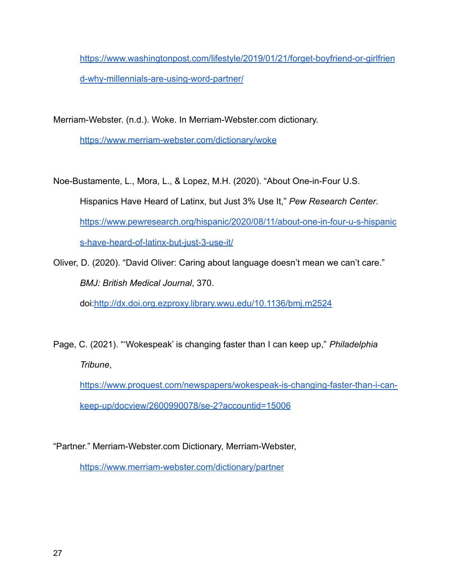[https://www.washingtonpost.com/lifestyle/2019/01/21/forget-boyfriend-or-girlfrien](https://www.washingtonpost.com/lifestyle/2019/01/21/forget-boyfriend-or-girlfriend-why-millennials-are-using-word-partner/) [d-why-millennials-are-using-word-partner/](https://www.washingtonpost.com/lifestyle/2019/01/21/forget-boyfriend-or-girlfriend-why-millennials-are-using-word-partner/)

Merriam-Webster. (n.d.). Woke. In Merriam-Webster.com dictionary.

<https://www.merriam-webster.com/dictionary/woke>

Noe-Bustamente, L., Mora, L., & Lopez, M.H. (2020). "About One-in-Four U.S. Hispanics Have Heard of Latinx, but Just 3% Use It," *Pew Research Center*. [https://www.pewresearch.org/hispanic/2020/08/11/about-one-in-four-u-s-hispanic](https://www.pewresearch.org/hispanic/2020/08/11/about-one-in-four-u-s-hispanics-have-heard-of-latinx-but-just-3-use-it/) [s-have-heard-of-latinx-but-just-3-use-it/](https://www.pewresearch.org/hispanic/2020/08/11/about-one-in-four-u-s-hispanics-have-heard-of-latinx-but-just-3-use-it/)

Oliver, D. (2020). "David Oliver: Caring about language doesn't mean we can't care." *BMJ: British Medical Journal*, 370. doi[:http://dx.doi.org.ezproxy.library.wwu.edu/10.1136/bmj.m2524](http://dx.doi.org.ezproxy.library.wwu.edu/10.1136/bmj.m2524)

Page, C. (2021). "'Wokespeak' is changing faster than I can keep up," *Philadelphia Tribune*,

[https://www.proquest.com/newspapers/wokespeak-is-changing-faster-than-i-can](https://www.proquest.com/newspapers/wokespeak-is-changing-faster-than-i-can-keep-up/docview/2600990078/se-2?accountid=15006)[keep-up/docview/2600990078/se-2?accountid=15006](https://www.proquest.com/newspapers/wokespeak-is-changing-faster-than-i-can-keep-up/docview/2600990078/se-2?accountid=15006)

"Partner." Merriam-Webster.com Dictionary, Merriam-Webster,

<https://www.merriam-webster.com/dictionary/partner>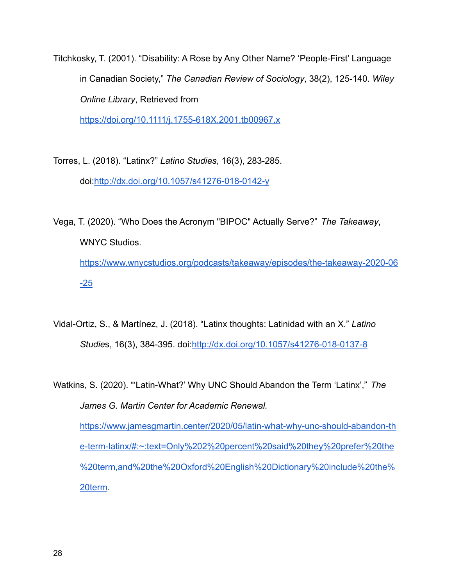Titchkosky, T. (2001). "Disability: A Rose by Any Other Name? 'People-First' Language in Canadian Society," *The Canadian Review of Sociology*, 38(2), 125-140. *Wiley Online Library*, Retrieved from

<https://doi.org/10.1111/j.1755-618X.2001.tb00967.x>

- Torres, L. (2018). "Latinx?" *Latino Studies*, 16(3), 283-285. doi[:http://dx.doi.org/10.1057/s41276-018-0142-y](http://dx.doi.org/10.1057/s41276-018-0142-y)
- Vega, T. (2020). "Who Does the Acronym "BIPOC" Actually Serve?" *The Takeaway*, WNYC Studios. [https://www.wnycstudios.org/podcasts/takeaway/episodes/the-takeaway-2020-06](https://www.wnycstudios.org/podcasts/takeaway/episodes/the-takeaway-2020-06-25)  $-25$
- Vidal-Ortiz, S., & Martínez, J. (2018). "Latinx thoughts: Latinidad with an X." *Latino Studie*s, 16(3), 384-395. doi[:http://dx.doi.org/10.1057/s41276-018-0137-8](http://dx.doi.org/10.1057/s41276-018-0137-8)

Watkins, S. (2020). "'Latin-What?' Why UNC Should Abandon the Term 'Latinx'," *The James G. Martin Center for Academic Renewal.* [https://www.jamesgmartin.center/2020/05/latin-what-why-unc-should-abandon-th](https://www.jamesgmartin.center/2020/05/latin-what-why-unc-should-abandon-the-term-latinx/#:~:text=Only%202%20percent%20said%20they%20prefer%20the%20term,and%20the%20Oxford%20English%20Dictionary%20include%20the%20term) [e-term-latinx/#:~:text=Only%202%20percent%20said%20they%20prefer%20the](https://www.jamesgmartin.center/2020/05/latin-what-why-unc-should-abandon-the-term-latinx/#:~:text=Only%202%20percent%20said%20they%20prefer%20the%20term,and%20the%20Oxford%20English%20Dictionary%20include%20the%20term) [%20term,and%20the%20Oxford%20English%20Dictionary%20include%20the%](https://www.jamesgmartin.center/2020/05/latin-what-why-unc-should-abandon-the-term-latinx/#:~:text=Only%202%20percent%20said%20they%20prefer%20the%20term,and%20the%20Oxford%20English%20Dictionary%20include%20the%20term) [20term](https://www.jamesgmartin.center/2020/05/latin-what-why-unc-should-abandon-the-term-latinx/#:~:text=Only%202%20percent%20said%20they%20prefer%20the%20term,and%20the%20Oxford%20English%20Dictionary%20include%20the%20term).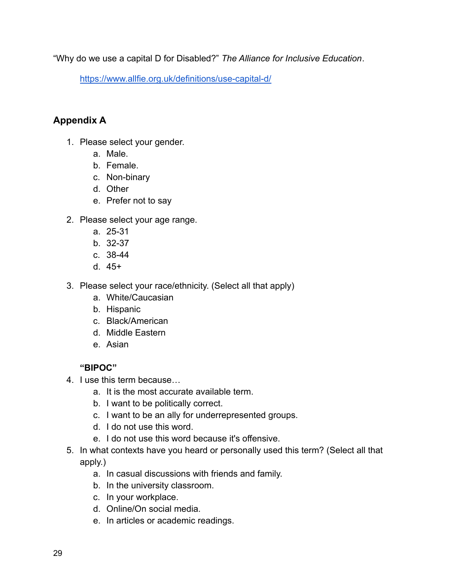"Why do we use a capital D for Disabled?" *The Alliance for Inclusive Education*.

<https://www.allfie.org.uk/definitions/use-capital-d/>

# **Appendix A**

- 1. Please select your gender.
	- a. Male.
	- b. Female.
	- c. Non-binary
	- d. Other
	- e. Prefer not to say
- 2. Please select your age range.
	- a. 25-31
	- b. 32-37
	- c. 38-44
	- d. 45+
- 3. Please select your race/ethnicity. (Select all that apply)
	- a. White/Caucasian
	- b. Hispanic
	- c. Black/American
	- d. Middle Eastern
	- e. Asian

# **"BIPOC"**

- 4. I use this term because…
	- a. It is the most accurate available term.
	- b. I want to be politically correct.
	- c. I want to be an ally for underrepresented groups.
	- d. I do not use this word.
	- e. I do not use this word because it's offensive.
- 5. In what contexts have you heard or personally used this term? (Select all that apply.)
	- a. In casual discussions with friends and family.
	- b. In the university classroom.
	- c. In your workplace.
	- d. Online/On social media.
	- e. In articles or academic readings.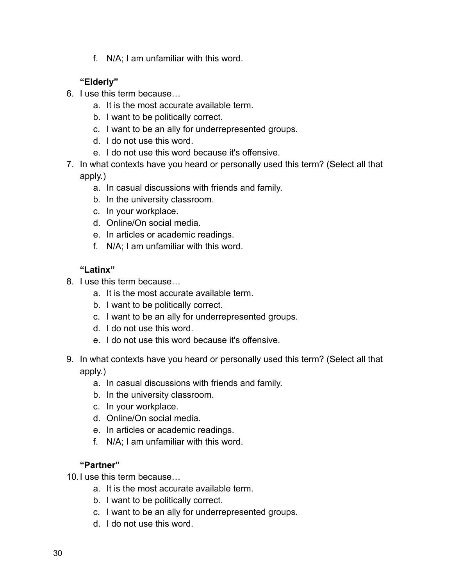f. N/A; I am unfamiliar with this word.

# **"Elderly"**

- 6. I use this term because…
	- a. It is the most accurate available term.
	- b. I want to be politically correct.
	- c. I want to be an ally for underrepresented groups.
	- d. I do not use this word.
	- e. I do not use this word because it's offensive.
- 7. In what contexts have you heard or personally used this term? (Select all that apply.)
	- a. In casual discussions with friends and family.
	- b. In the university classroom.
	- c. In your workplace.
	- d. Online/On social media.
	- e. In articles or academic readings.
	- f. N/A; I am unfamiliar with this word.

# **"Latinx"**

- 8. I use this term because…
	- a. It is the most accurate available term.
	- b. I want to be politically correct.
	- c. I want to be an ally for underrepresented groups.
	- d. I do not use this word.
	- e. I do not use this word because it's offensive.
- 9. In what contexts have you heard or personally used this term? (Select all that apply.)
	- a. In casual discussions with friends and family.
	- b. In the university classroom.
	- c. In your workplace.
	- d. Online/On social media.
	- e. In articles or academic readings.
	- f. N/A; I am unfamiliar with this word.

# **"Partner"**

10.I use this term because…

- a. It is the most accurate available term.
- b. I want to be politically correct.
- c. I want to be an ally for underrepresented groups.
- d. I do not use this word.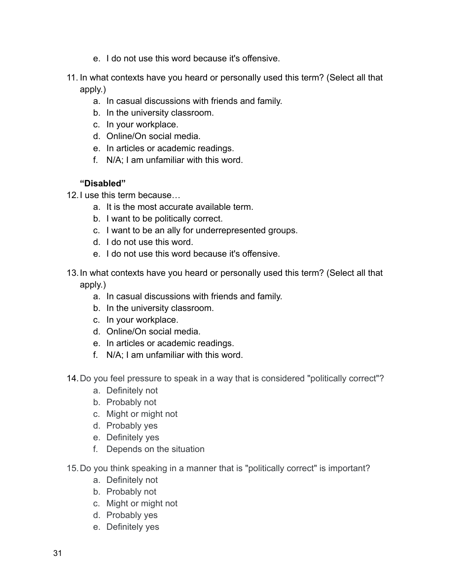- e. I do not use this word because it's offensive.
- 11. In what contexts have you heard or personally used this term? (Select all that apply.)
	- a. In casual discussions with friends and family.
	- b. In the university classroom.
	- c. In your workplace.
	- d. Online/On social media.
	- e. In articles or academic readings.
	- f. N/A; I am unfamiliar with this word.

# **"Disabled"**

- 12.I use this term because…
	- a. It is the most accurate available term.
	- b. I want to be politically correct.
	- c. I want to be an ally for underrepresented groups.
	- d. I do not use this word.
	- e. I do not use this word because it's offensive.
- 13.In what contexts have you heard or personally used this term? (Select all that apply.)
	- a. In casual discussions with friends and family.
	- b. In the university classroom.
	- c. In your workplace.
	- d. Online/On social media.
	- e. In articles or academic readings.
	- f. N/A; I am unfamiliar with this word.
- 14.Do you feel pressure to speak in a way that is considered "politically correct"?
	- a. Definitely not
	- b. Probably not
	- c. Might or might not
	- d. Probably yes
	- e. Definitely yes
	- f. Depends on the situation
- 15.Do you think speaking in a manner that is "politically correct" is important?
	- a. Definitely not
	- b. Probably not
	- c. Might or might not
	- d. Probably yes
	- e. Definitely yes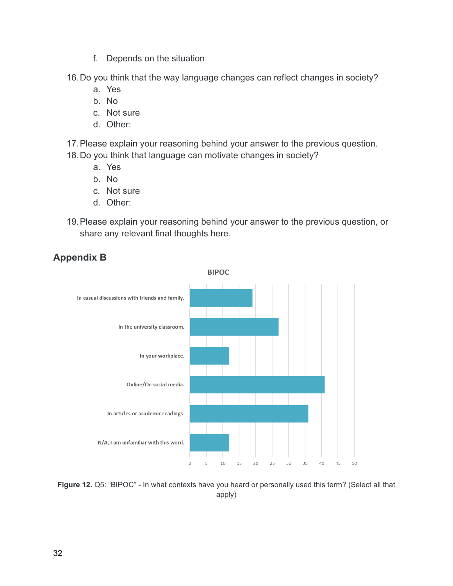- f. Depends on the situation
- 16.Do you think that the way language changes can reflect changes in society?
	- a. Yes
	- b. No
	- c. Not sure
	- d. Other:
- 17.Please explain your reasoning behind your answer to the previous question.
- 18.Do you think that language can motivate changes in society?
	- a. Yes
	- b. No
	- c. Not sure
	- d. Other:
- 19.Please explain your reasoning behind your answer to the previous question, or share any relevant final thoughts here.



# **Appendix B**

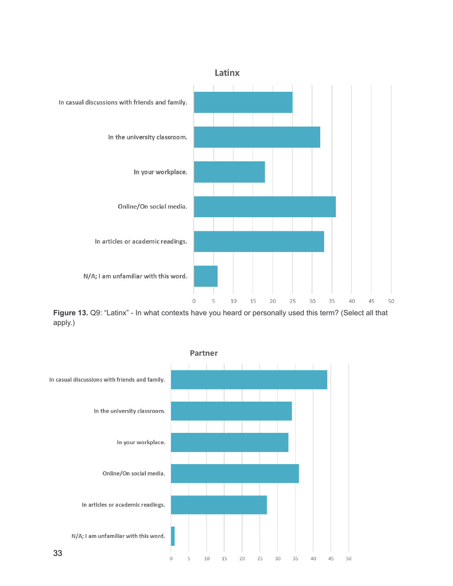

**Figure 13.** Q9: "Latinx" - In what contexts have you heard or personally used this term? (Select all that apply.)

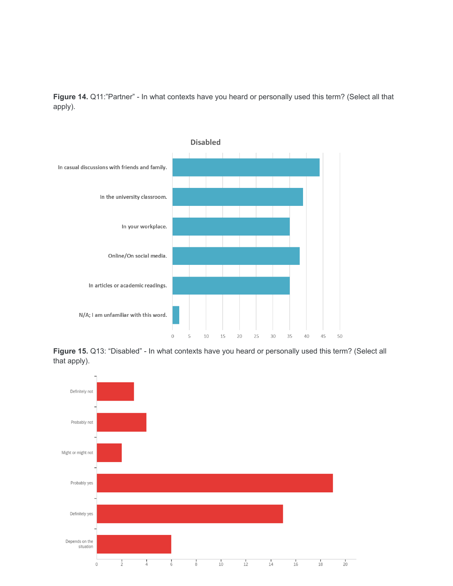**Figure 14.** Q11:"Partner" - In what contexts have you heard or personally used this term? (Select all that apply).



**Figure 15.** Q13: "Disabled" - In what contexts have you heard or personally used this term? (Select all that apply).